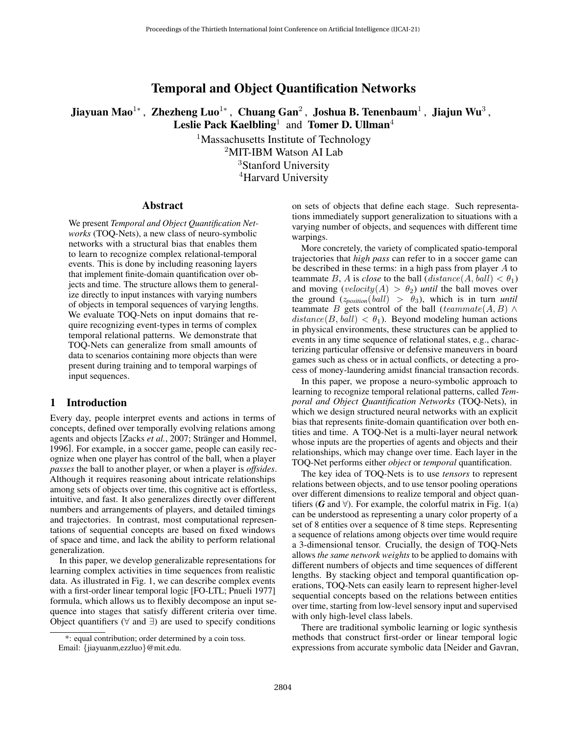# Temporal and Object Quantification Networks

<span id="page-0-0"></span>Jiayuan Mao $^{1*}$  , Zhezheng Luo $^{1*}$  , Chuang Gan $^2$  , Joshua B. Tenenbaum $^1$  , Jiajun Wu $^3$  , Leslie Pack Kaelbling<sup>1</sup> and Tomer D. Ullman<sup>4</sup>

> <sup>1</sup>Massachusetts Institute of Technology <sup>2</sup>MIT-IBM Watson AI Lab <sup>3</sup>Stanford University <sup>4</sup>Harvard University

### Abstract

We present *Temporal and Object Quantification Networks* (TOQ-Nets), a new class of neuro-symbolic networks with a structural bias that enables them to learn to recognize complex relational-temporal events. This is done by including reasoning layers that implement finite-domain quantification over objects and time. The structure allows them to generalize directly to input instances with varying numbers of objects in temporal sequences of varying lengths. We evaluate TOQ-Nets on input domains that require recognizing event-types in terms of complex temporal relational patterns. We demonstrate that TOQ-Nets can generalize from small amounts of data to scenarios containing more objects than were present during training and to temporal warpings of input sequences.

# 1 Introduction

Every day, people interpret events and actions in terms of concepts, defined over temporally evolving relations among agents and objects [\[Zacks](#page-7-0) *et al.*, 2007; Stränger and Hommel, [1996\]](#page-7-1). For example, in a soccer game, people can easily recognize when one player has control of the ball, when a player *passes* the ball to another player, or when a player is *offsides*. Although it requires reasoning about intricate relationships among sets of objects over time, this cognitive act is effortless, intuitive, and fast. It also generalizes directly over different numbers and arrangements of players, and detailed timings and trajectories. In contrast, most computational representations of sequential concepts are based on fixed windows of space and time, and lack the ability to perform relational generalization.

In this paper, we develop generalizable representations for learning complex activities in time sequences from realistic data. As illustrated in Fig. [1,](#page-1-0) we can describe complex events with a first-order linear temporal logic [FO-LTL; [Pnueli 1977\]](#page-7-2) formula, which allows us to flexibly decompose an input sequence into stages that satisfy different criteria over time. Object quantifiers ( $\forall$  and  $\exists$ ) are used to specify conditions

on sets of objects that define each stage. Such representations immediately support generalization to situations with a varying number of objects, and sequences with different time warpings.

More concretely, the variety of complicated spatio-temporal trajectories that *high pass* can refer to in a soccer game can be described in these terms: in a high pass from player  $A$  to teammate B, A is *close* to the ball  $distance(A, ball) < \theta_1$ ) and moving  $(\text{velocity}(A) > \theta_2)$  *until* the ball moves over the ground  $(z_{position}(ball) > \theta_3)$ , which is in turn *until* teammate B gets control of the ball (teammate  $(A, B) \wedge$  $distance(B, ball) < \theta_1$ ). Beyond modeling human actions in physical environments, these structures can be applied to events in any time sequence of relational states, e.g., characterizing particular offensive or defensive maneuvers in board games such as chess or in actual conflicts, or detecting a process of money-laundering amidst financial transaction records.

In this paper, we propose a neuro-symbolic approach to learning to recognize temporal relational patterns, called *Temporal and Object Quantification Networks* (TOQ-Nets), in which we design structured neural networks with an explicit bias that represents finite-domain quantification over both entities and time. A TOQ-Net is a multi-layer neural network whose inputs are the properties of agents and objects and their relationships, which may change over time. Each layer in the TOQ-Net performs either *object* or *temporal* quantification.

The key idea of TOQ-Nets is to use *tensors* to represent relations between objects, and to use tensor pooling operations over different dimensions to realize temporal and object quantifiers ( $G$  and  $\forall$ ). For example, the colorful matrix in Fig. [1\(](#page-1-0)a) can be understood as representing a unary color property of a set of 8 entities over a sequence of 8 time steps. Representing a sequence of relations among objects over time would require a 3-dimensional tensor. Crucially, the design of TOQ-Nets allows *the same network weights* to be applied to domains with different numbers of objects and time sequences of different lengths. By stacking object and temporal quantification operations, TOQ-Nets can easily learn to represent higher-level sequential concepts based on the relations between entities over time, starting from low-level sensory input and supervised with only high-level class labels.

There are traditional symbolic learning or logic synthesis methods that construct first-order or linear temporal logic expressions from accurate symbolic data [\[Neider and Gavran,](#page-7-3)

<sup>\*:</sup> equal contribution; order determined by a coin toss.

Email: {jiayuanm,ezzluo}@mit.edu.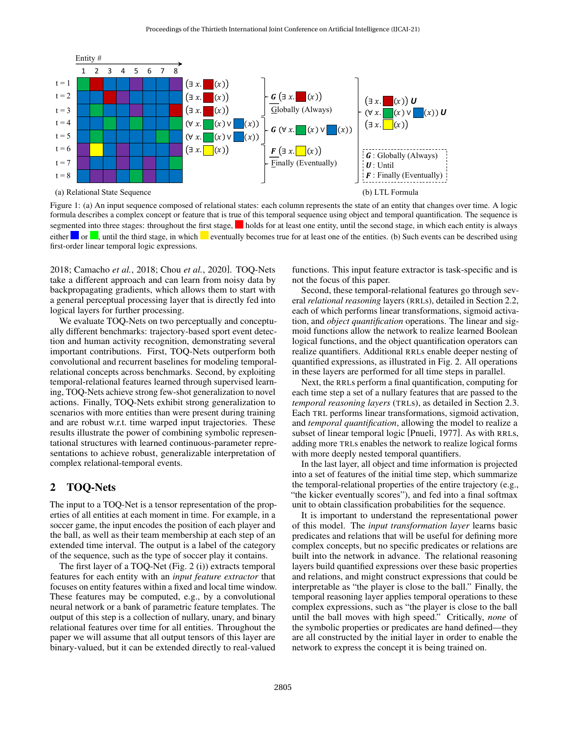<span id="page-1-0"></span>

[Figure 1: \(a\) An input sequence composed of relational states: each column represents the state of an entity that changes over](#page-7-3) time. A logic formula describes a complex concept or feature that is true of this temporal sequence using object and temporal quantification. The sequence is segmented into three stages: throughout the first stage, **h**olds for at least one entity, until the second stage, in which each entity is always either  $\Box$  or  $\Box$ , until the third stage, in which  $\Box$  eventually becomes true for at least one of the entities. (b) Such events can be described using first-order linear temporal logic expressions.

[2018;](#page-7-3) [Camacho](#page-7-4) *et al.*, 2018; Chou *et al.*[, 2020\]](#page-7-5). TOQ-Nets take a different approach and can learn from noisy data by backpropagating gradients, which allows them to start with a general perceptual processing layer that is directly fed into logical layers for further processing.

We evaluate TOQ-Nets on two perceptually and conceptually different benchmarks: trajectory-based sport event detection and human activity recognition, demonstrating several important contributions. First, TOQ-Nets outperform both convolutional and recurrent baselines for modeling temporalrelational concepts across benchmarks. Second, by exploiting temporal-relational features learned through supervised learning, TOQ-Nets achieve strong few-shot generalization to novel actions. Finally, TOQ-Nets exhibit strong generalization to scenarios with more entities than were present during training and are robust w.r.t. time warped input trajectories. These results illustrate the power of combining symbolic representational structures with learned continuous-parameter representations to achieve robust, generalizable interpretation of complex relational-temporal events.

# 2 TOQ-Nets

The input to a TOQ-Net is a tensor representation of the properties of all entities at each moment in time. For example, in a soccer game, the input encodes the position of each player and the ball, as well as their team membership at each step of an extended time interval. The output is a label of the category of the sequence, such as the type of soccer play it contains.

The first layer of a TOQ-Net (Fig. [2](#page-2-0) (i)) extracts temporal features for each entity with an *input feature extractor* that focuses on entity features within a fixed and local time window. These features may be computed, e.g., by a convolutional neural network or a bank of parametric feature templates. The output of this step is a collection of nullary, unary, and binary relational features over time for all entities. Throughout the paper we will assume that all output tensors of this layer are binary-valued, but it can be extended directly to real-valued

functions. This input feature extractor is task-specific and is not the focus of this paper.

Second, these temporal-relational features go through several *relational reasoning* layers (RRLs), detailed in Section [2.2,](#page-2-1) each of which performs linear transformations, sigmoid activation, and *object quantification* operations. The linear and sigmoid functions allow the network to realize learned Boolean logical functions, and the object quantification operators can realize quantifiers. Additional RRLs enable deeper nesting of quantified expressions, as illustrated in Fig. [2.](#page-2-0) All operations in these layers are performed for all time steps in parallel.

Next, the RRLs perform a final quantification, computing for each time step a set of a nullary features that are passed to the *temporal reasoning layers* (TRLs), as detailed in Section [2.3.](#page-3-0) Each TRL performs linear transformations, sigmoid activation, and *temporal quantification*, allowing the model to realize a subset of linear temporal logic [\[Pnueli, 1977\]](#page-7-2). As with RRLs, adding more TRLs enables the network to realize logical forms with more deeply nested temporal quantifiers.

In the last layer, all object and time information is projected into a set of features of the initial time step, which summarize the temporal-relational properties of the entire trajectory (e.g., "the kicker eventually scores"), and fed into a final softmax unit to obtain classification probabilities for the sequence.

It is important to understand the representational power of this model. The *input transformation layer* learns basic predicates and relations that will be useful for defining more complex concepts, but no specific predicates or relations are built into the network in advance. The relational reasoning layers build quantified expressions over these basic properties and relations, and might construct expressions that could be interpretable as "the player is close to the ball." Finally, the temporal reasoning layer applies temporal operations to these complex expressions, such as "the player is close to the ball until the ball moves with high speed." Critically, *none* of the symbolic properties or predicates are hand defined—they are all constructed by the initial layer in order to enable the network to express the concept it is being trained on.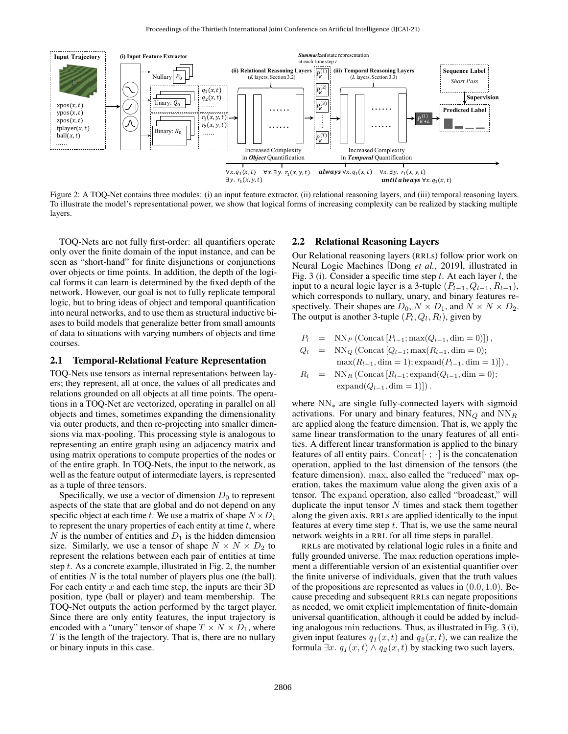<span id="page-2-0"></span>

Figure 2: A TOQ-Net contains three modules: (i) an input feature extractor, (ii) relational reasoning layers, and (iii) temporal reasoning layers. To illustrate the model's representational power, we show that logical forms of increasing complexity can be realized by stacking multiple layers.

TOQ-Nets are not fully first-order: all quantifiers operate only over the finite domain of the input instance, and can be seen as "short-hand" for finite disjunctions or conjunctions over objects or time points. In addition, the depth of the logical forms it can learn is determined by the fixed depth of the network. However, our goal is not to fully replicate temporal logic, but to bring ideas of object and temporal quantification into neural networks, and to use them as structural inductive biases to build models that generalize better from small amounts of data to situations with varying numbers of objects and time courses.

#### 2.1 Temporal-Relational Feature Representation

TOQ-Nets use tensors as internal representations between layers; they represent, all at once, the values of all predicates and relations grounded on all objects at all time points. The operations in a TOQ-Net are vectorized, operating in parallel on all objects and times, sometimes expanding the dimensionality via outer products, and then re-projecting into smaller dimensions via max-pooling. This processing style is analogous to representing an entire graph using an adjacency matrix and using matrix operations to compute properties of the nodes or of the entire graph. In TOQ-Nets, the input to the network, as well as the feature output of intermediate layers, is represented as a tuple of three tensors.

<span id="page-2-1"></span>Specifically, we use a vector of dimension  $D_0$  to represent aspects of the state that are global and do not depend on any specific object at each time t. We use a matrix of shape  $N \times D_1$ to represent the unary properties of each entity at time  $t$ , where N is the number of entities and  $D_1$  is the hidden dimension size. Similarly, we use a tensor of shape  $N \times N \times D_2$  to represent the relations between each pair of entities at time step  $t$ . As a concrete example, illustrated in Fig. [2,](#page-2-0) the number of entities  $N$  is the total number of players plus one (the ball). For each entity  $x$  and each time step, the inputs are their  $3D$ position, type (ball or player) and team membership. The TOQ-Net outputs the action performed by the target player. Since there are only entity features, the input trajectory is encoded with a "unary" tensor of shape  $T \times N \times D_1$ , where  $T$  is the length of the trajectory. That is, there are no nullary or binary inputs in this case.

#### 2.2 Relational Reasoning Layers

Our Relational reasoning layers (RRLs) follow prior work on Neural Logic Machines [Dong *et al.*[, 2019\]](#page-7-6), illustrated in Fig. [3](#page-3-1) (i). Consider a specific time step t. At each layer  $l$ , the input to a neural logic layer is a 3-tuple  $(P_{l-1}, Q_{l-1}, R_{l-1}),$ which corresponds to nullary, unary, and binary features respectively. Their shapes are  $D_0$ ,  $N \times D_1$ , and  $N \times N \times D_2$ . The output is another 3-tuple  $(P_l, Q_l, R_l)$ , given by

$$
P_l = \text{NN}_P \left( \text{Concat} \left[ P_{l-1}; \max(Q_{l-1}, \dim = 0) \right] \right),
$$

$$
Q_l = NN_Q \left( \text{Concat} [Q_{l-1}; \max(R_{l-1}, \dim = 0); \max(R_{l-1}, \dim = 1); \text{expand}(P_{l-1}, \dim = 1) \right),\,
$$

$$
R_l = \text{NN}_R \left( \text{Concat} \left[ R_{l-1}; \text{expand}(Q_{l-1}, \text{dim} = 0) \right]; \right. \\ \text{expand}(Q_{l-1}, \text{dim} = 1) ] \right).
$$

where  $NN_*$  are single fully-connected layers with sigmoid activations. For unary and binary features,  $NN_Q$  and  $NN_R$ are applied along the feature dimension. That is, we apply the same linear transformation to the unary features of all entities. A different linear transformation is applied to the binary features of all entity pairs. Concat $[\cdot; \cdot]$  is the concatenation operation, applied to the last dimension of the tensors (the feature dimension). max, also called the "reduced" max operation, takes the maximum value along the given axis of a tensor. The expand operation, also called "broadcast," will duplicate the input tensor  $N$  times and stack them together along the given axis. RRLs are applied identically to the input features at every time step  $t$ . That is, we use the same neural network weights in a RRL for all time steps in parallel.

RRLs are motivated by relational logic rules in a finite and fully grounded universe. The max reduction operations implement a differentiable version of an existential quantifier over the finite universe of individuals, given that the truth values of the propositions are represented as values in  $(0.0, 1.0)$ . Because preceding and subsequent RRLs can negate propositions as needed, we omit explicit implementation of finite-domain universal quantification, although it could be added by including analogous min reductions. Thus, as illustrated in Fig. [3](#page-3-1) (i), given input features  $q_1(x, t)$  and  $q_2(x, t)$ , we can realize the formula  $\exists x. q_1(x,t) \land q_2(x,t)$  by stacking two such layers.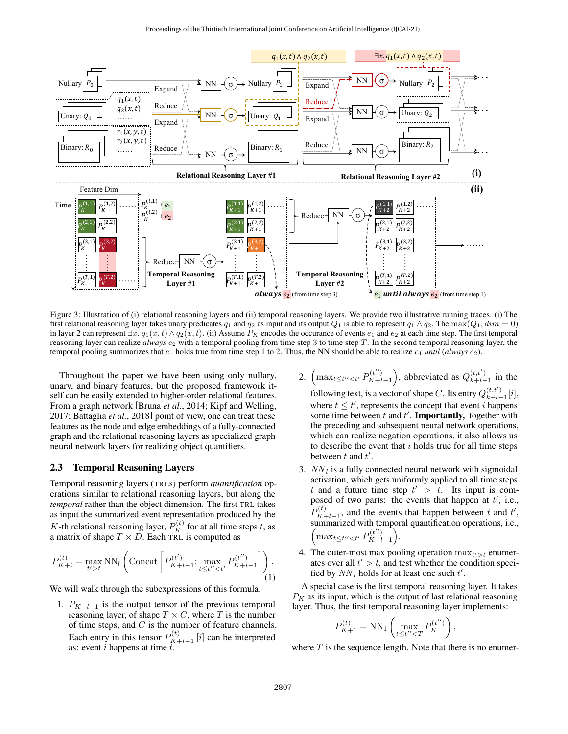<span id="page-3-1"></span>

Figure 3: Illustration of (i) relational reasoning layers and (ii) temporal reasoning layers. We provide two illustrative running traces. (i) The first relational reasoning layer takes unary predicates  $q_1$  and  $q_2$  as input and its output  $Q_1$  is able to represent  $q_1 \wedge q_2$ . The max $(Q_1, dim = 0)$ in layer 2 can represent  $\exists x \cdot q_1(x, t) \wedge q_2(x, t)$ . (ii) Assume  $P_K$  encodes the occurance of events  $e_1$  and  $e_2$  at each time step. The first temporal reasoning layer can realize *always*  $e_2$  with a temporal pooling from time step 3 to time step T. In the second temporal reasoning layer, the temporal pooling summarizes that  $e_1$  holds true from time step 1 to 2. Thus, the NN should be able to realize  $e_1$  *until* (*always*  $e_2$ ).

Throughout the paper we have been using only nullary, unary, and binary features, but the proposed framework itself can be easily extended to higher-order relational features. From a graph network [\[Bruna](#page-7-7) *et al.*, 2014; [Kipf and Welling,](#page-7-8) [2017;](#page-7-8) [Battaglia](#page-7-9) *et al.*, 2018] point of view, one can treat these features as the node and edge embeddings of a fully-connected graph and the relational reasoning layers as specialized graph neural network layers for realizing object quantifiers.

### <span id="page-3-0"></span>2.3 Temporal Reasoning Layers

Temporal reasoning layers (TRLs) perform *quantification* operations similar to relational reasoning layers, but along the *temporal* rather than the object dimension. The first TRL takes as input the summarized event representation produced by the K-th relational reasoning layer,  $P_K^{(t)}$  for at all time steps t, as a matrix of shape  $T \times D$ . Each TRL is computed as

<span id="page-3-2"></span>
$$
P_{K+l}^{(t)} = \max_{t'>t} \text{NN}_l \left( \text{Concat} \left[ P_{K+l-1}^{(t')} ; \max_{t \le t'' < t'} P_{K+l-1}^{(t'')} \right] \right). \tag{1}
$$

We will walk through the subexpressions of this formula.

1.  $P_{K+l-1}$  is the output tensor of the previous temporal reasoning layer, of shape  $T \times C$ , where T is the number of time steps, and  $C$  is the number of feature channels. Each entry in this tensor  $P_{K-1}^{(t)}$  $K+l-1$  [i] can be interpreted as: event  $i$  happens at time  $t$ .

- 2.  $\left( \max_{t \leq t'' < t'} P_{K+l}^{(t'')} \right)$  $b_{K+l-1}^{(t'')}$ , abbreviated as  $Q_{k+l-1}^{(t,t')}$  $\sum_{k+l-1}^{(i,i)}$  in the following text, is a vector of shape C. Its entry  $Q_{k+l-1}^{(t,t')}$  $\binom{l, l}{k+l-1} [i],$ where  $t \leq t'$ , represents the concept that event i happens some time between  $t$  and  $t'$ . **Importantly**, together with the preceding and subsequent neural network operations, which can realize negation operations, it also allows us to describe the event that  $i$  holds true for all time steps
- 3.  $NN_l$  is a fully connected neural network with sigmoidal activation, which gets uniformly applied to all time steps t and a future time step  $t' > t$ . Its input is composed of two parts: the events that happen at  $t'$ , i.e.,  $P_{K}^{(t)}$  $K^{(t)}_{K+l-1}$ , and the events that happen between t and t', summarized with temporal quantification operations, i.e.,  $\left(\max_{t \leq t'' < t'} P_{K+t}^{(t'')} \right)$  $\binom{(t'')}{K+l-1}$ .

between  $t$  and  $t'$ .

4. The outer-most max pooling operation  $\max_{t'>t}$  enumerates over all  $t' > t$ , and test whether the condition specified by  $NN_l$  holds for at least one such  $t'$ .

A special case is the first temporal reasoning layer. It takes  $P_K$  as its input, which is the output of last relational reasoning layer. Thus, the first temporal reasoning layer implements:

$$
P_{K+1}^{(t)} = \text{NN}_1\left(\max_{t\leq t^{\prime\prime} < T} P_K^{(t^{\prime\prime})}\right),
$$

where  $T$  is the sequence length. Note that there is no enumer-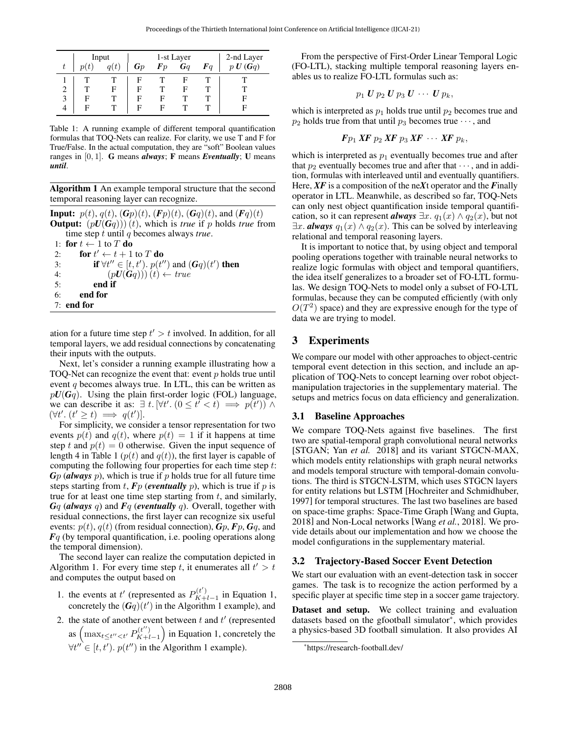<span id="page-4-0"></span>

|   | Input |   |    | 1-st Layer | 2-nd Layer<br>$p U(Gq)$ |            |   |
|---|-------|---|----|------------|-------------------------|------------|---|
| t |       |   | Gp | $\bm{F}p$  | $\boldsymbol{G}$        | $\bm{F}$ a |   |
|   |       |   |    |            |                         |            |   |
| 2 |       | F | E  |            | ь                       |            |   |
| 3 | F     |   | F  | н          |                         |            | E |
| 4 | F     |   | F  | н          |                         |            |   |

Table 1: A running example of different temporal quantification formulas that TOQ-Nets can realize. For clarity, we use T and F for True/False. In the actual computation, they are "soft" Boolean values ranges in [0, 1]. G means *always*; F means *Eventually*; U means *until*.

<span id="page-4-1"></span>Algorithm 1 An example temporal structure that the second temporal reasoning layer can recognize.

**Input:**  $p(t)$ ,  $q(t)$ ,  $(\mathbf{G}p)(t)$ ,  $(\mathbf{F}p)(t)$ ,  $(\mathbf{G}q)(t)$ , and  $(\mathbf{F}q)(t)$ **Output:**  $(pU(Gq))$  (t), which is *true* if p holds *true* from time step t until q becomes always *true*. 1: for  $t \leftarrow 1$  to T do 2: **for**  $t' \leftarrow t + 1$  to T **do** 3: **if**  $\forall t'' \in [t, t']$ .  $p(t'')$  and  $(Gq)(t')$  then 4:  $(pU(Gq)))(t) \leftarrow true$ 5: end if

6: end for

7: end for

ation for a future time step  $t' > t$  involved. In addition, for all temporal layers, we add residual connections by concatenating their inputs with the outputs.

Next, let's consider a running example illustrating how a TOQ-Net can recognize the event that: event  $p$  holds true until event  $q$  becomes always true. In LTL, this can be written as  $pU(Gq)$ . Using the plain first-order logic (FOL) language, we can describe it as:  $\exists t$ .  $[\forall t'$ .  $(0 \le t^{\prime} < t) \implies p(t')$ )  $\wedge$  $(\forall t'. (t' \geq t) \implies q(t')].$ 

For simplicity, we consider a tensor representation for two events  $p(t)$  and  $q(t)$ , where  $p(t) = 1$  if it happens at time step t and  $p(t) = 0$  otherwise. Given the input sequence of length 4 in Table [1](#page-4-0) ( $p(t)$  and  $q(t)$ ), the first layer is capable of computing the following four properties for each time step t: *G*p (*always* p), which is true if p holds true for all future time steps starting from  $t$ ,  $F_p$  (*eventually*  $p$ ), which is true if  $p$  is true for at least one time step starting from  $t$ , and similarly, *G*q (*always* q) and *F*q (*eventually* q). Overall, together with residual connections, the first layer can recognize six useful events:  $p(t)$ ,  $q(t)$  (from residual connection),  $G_p$ ,  $F_p$ ,  $G_q$ , and *F*q (by temporal quantification, i.e. pooling operations along the temporal dimension).

The second layer can realize the computation depicted in Algorithm [1.](#page-4-1) For every time step t, it enumerates all  $t' > t$ and computes the output based on

- 1. the events at t' (represented as  $P_{K+}^{(t')}$  $K+l-1$  in Equation [1,](#page-3-2) concretely the  $(Gq)(t')$  in the Algorithm [1](#page-4-1) example), and
- 2. the state of another event between  $t$  and  $t'$  (represented as  $\left( \max_{t \leq t'' < t'} P_{K+l}^{(t'')} \right)$  $\binom{(t'')}{K+l-1}$  in Equation [1,](#page-3-2) concretely the  $\forall t'' \in [t, t']$ .  $p(t'')$  in the Algorithm [1](#page-4-1) example).

From the perspective of First-Order Linear Temporal Logic (FO-LTL), stacking multiple temporal reasoning layers enables us to realize FO-LTL formulas such as:

$$
p_1 U p_2 U p_3 U \cdots U p_k,
$$

which is interpreted as  $p_1$  holds true until  $p_2$  becomes true and  $p_2$  holds true from that until  $p_3$  becomes true  $\cdots$ , and

$$
Fp_1\,\text{XF}\,p_2\,\text{XF}\,p_3\,\text{XF}\,\cdots\,\text{XF}\,p_k,
$$

which is interpreted as  $p_1$  eventually becomes true and after that  $p_2$  eventually becomes true and after that  $\cdots$ , and in addition, formulas with interleaved until and eventually quantifiers. Here, *XF* is a composition of the ne*X*t operator and the *F*inally operator in LTL. Meanwhile, as described so far, TOQ-Nets can only nest object quantification inside temporal quantification, so it can represent *always*  $\exists x. q_1(x) \wedge q_2(x)$ , but not  $\exists x.$  **always**  $q_1(x) \wedge q_2(x)$ . This can be solved by interleaving relational and temporal reasoning layers.

It is important to notice that, by using object and temporal pooling operations together with trainable neural networks to realize logic formulas with object and temporal quantifiers, the idea itself generalizes to a broader set of FO-LTL formulas. We design TOQ-Nets to model only a subset of FO-LTL formulas, because they can be computed efficiently (with only  $O(T^2)$  space) and they are expressive enough for the type of data we are trying to model.

# 3 Experiments

We compare our model with other approaches to object-centric temporal event detection in this section, and include an application of TOQ-Nets to concept learning over robot objectmanipulation trajectories in the supplementary material. The setups and metrics focus on data efficiency and generalization.

#### 3.1 Baseline Approaches

We compare TOQ-Nets against five baselines. The first two are spatial-temporal graph convolutional neural networks [STGAN; Yan *[et al.](#page-7-10)* [2018\]](#page-7-10) and its variant STGCN-MAX, which models entity relationships with graph neural networks and models temporal structure with temporal-domain convolutions. The third is STGCN-LSTM, which uses STGCN layers for entity relations but LSTM [\[Hochreiter and Schmidhuber,](#page-7-11) [1997\]](#page-7-11) for temporal structures. The last two baselines are based on space-time graphs: Space-Time Graph [\[Wang and Gupta,](#page-7-12) [2018\]](#page-7-12) and Non-Local networks [Wang *et al.*[, 2018\]](#page-7-13). We provide details about our implementation and how we choose the model configurations in the supplementary material.

# 3.2 Trajectory-Based Soccer Event Detection

We start our evaluation with an event-detection task in soccer games. The task is to recognize the action performed by a specific player at specific time step in a soccer game trajectory.

Dataset and setup. We collect training and evaluation datasets based on the gfootball simulator[\\*](#page-0-0), which provides a physics-based 3D football simulation. It also provides AI

<sup>\*</sup><https://research-football.dev/>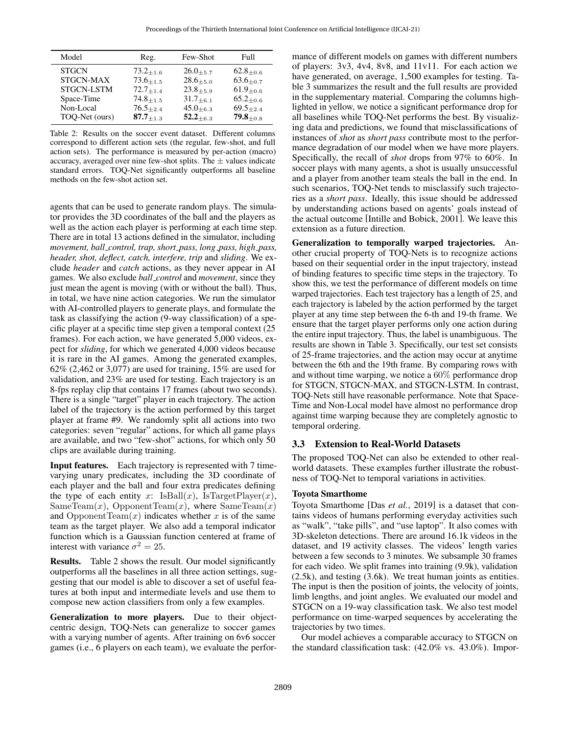<span id="page-5-0"></span>

| Model             | Reg.          | Few-Shot         | Full              |
|-------------------|---------------|------------------|-------------------|
| <b>STGCN</b>      | $73.2_{+1.6}$ | $26.0_{+5.7}$    | $62.8_{\pm 0.6}$  |
| STGCN-MAX         | $73.6 + 1.5$  | $28.6 + 5.0$     | $63.6_{\pm 0.7}$  |
| <b>STGCN-LSTM</b> | $72.7_{+1.4}$ | $23.8 + 5.9$     | $61.9_{\pm 0.6}$  |
| Space-Time        | $74.8 + 1.5$  | $31.7 + 6.1$     | $65.2_{+0.6}$     |
| Non-Local         | $76.5_{+2.4}$ | $45.0_{+6.3}$    | $69.5 + 2.4$      |
| TOQ-Net (ours)    | $87.7_{+1.3}$ | $52.2_{\pm 6.3}$ | 79.8 $_{\pm 0.8}$ |

Table 2: Results on the soccer event dataset. Different columns correspond to different action sets (the regular, few-shot, and full action sets). The performance is measured by per-action (macro) accuracy, averaged over nine few-shot splits. The  $\pm$  values indicate standard errors. TOQ-Net significantly outperforms all baseline methods on the few-shot action set.

agents that can be used to generate random plays. The simulator provides the 3D coordinates of the ball and the players as well as the action each player is performing at each time step. There are in total 13 actions defined in the simulator, including *movement, ball control, trap, short pass, long pass, high pass, header, shot, deflect, catch, interfere, trip* and *sliding*. We exclude *header* and *catch* actions, as they never appear in AI games. We also exclude *ball control* and *movement*, since they just mean the agent is moving (with or without the ball). Thus, in total, we have nine action categories. We run the simulator with AI-controlled players to generate plays, and formulate the task as classifying the action (9-way classification) of a specific player at a specific time step given a temporal context (25 frames). For each action, we have generated 5,000 videos, expect for *sliding*, for which we generated 4,000 videos because it is rare in the AI games. Among the generated examples, 62% (2,462 or 3,077) are used for training, 15% are used for validation, and 23% are used for testing. Each trajectory is an 8-fps replay clip that contains 17 frames (about two seconds). There is a single "target" player in each trajectory. The action label of the trajectory is the action performed by this target player at frame #9. We randomly split all actions into two categories: seven "regular" actions, for which all game plays are available, and two "few-shot" actions, for which only 50 clips are available during training.

Input features. Each trajectory is represented with 7 timevarying unary predicates, including the 3D coordinate of each player and the ball and four extra predicates defining the type of each entity x:  $IsBall(x)$ ,  $IsTargetPlayer(x)$ ,  $SameTeam(x)$ , OpponentTeam $(x)$ , where  $SameTeam(x)$ and OpponentTeam $(x)$  indicates whether x is of the same team as the target player. We also add a temporal indicator function which is a Gaussian function centered at frame of interest with variance  $\sigma^2 = 25$ .

Results. Table [2](#page-5-0) shows the result. Our model significantly outperforms all the baselines in all three action settings, suggesting that our model is able to discover a set of useful features at both input and intermediate levels and use them to compose new action classifiers from only a few examples.

Generalization to more players. Due to their objectcentric design, TOQ-Nets can generalize to soccer games with a varying number of agents. After training on 6v6 soccer games (i.e., 6 players on each team), we evaluate the performance of different models on games with different numbers of players: 3v3, 4v4, 8v8, and 11v11. For each action we have generated, on average, 1,500 examples for testing. Table [3](#page-6-0) summarizes the result and the full results are provided in the supplementary material. Comparing the columns highlighted in yellow, we notice a significant performance drop for all baselines while TOQ-Net performs the best. By visualizing data and predictions, we found that misclassifications of instances of *shot* as *short pass* contribute most to the performance degradation of our model when we have more players. Specifically, the recall of *shot* drops from 97% to 60%. In soccer plays with many agents, a shot is usually unsuccessful and a player from another team steals the ball in the end. In such scenarios, TOQ-Net tends to misclassify such trajectories as a *short pass*. Ideally, this issue should be addressed by understanding actions based on agents' goals instead of the actual outcome [\[Intille and Bobick, 2001\]](#page-7-14). We leave this extension as a future direction.

Generalization to temporally warped trajectories. Another crucial property of TOQ-Nets is to recognize actions based on their sequential order in the input trajectory, instead of binding features to specific time steps in the trajectory. To show this, we test the performance of different models on time warped trajectories. Each test trajectory has a length of 25, and each trajectory is labeled by the action performed by the target player at any time step between the 6-th and 19-th frame. We ensure that the target player performs only one action during the entire input trajectory. Thus, the label is unambiguous. The results are shown in Table [3.](#page-6-0) Specifically, our test set consists of 25-frame trajectories, and the action may occur at anytime between the 6th and the 19th frame. By comparing rows with and without time warping, we notice a 60% performance drop for STGCN, STGCN-MAX, and STGCN-LSTM. In contrast, TOQ-Nets still have reasonable performance. Note that Space-Time and Non-Local model have almost no performance drop against time warping because they are completely agnostic to temporal ordering.

### 3.3 Extension to Real-World Datasets

The proposed TOQ-Net can also be extended to other realworld datasets. These examples further illustrate the robustness of TOQ-Net to temporal variations in activities.

#### Toyota Smarthome

Toyota Smarthome [Das *et al.*[, 2019\]](#page-7-15) is a dataset that contains videos of humans performing everyday activities such as "walk", "take pills", and "use laptop". It also comes with 3D-skeleton detections. There are around 16.1k videos in the dataset, and 19 activity classes. The videos' length varies between a few seconds to 3 minutes. We subsample 30 frames for each video. We split frames into training (9.9k), validation (2.5k), and testing (3.6k). We treat human joints as entities. The input is then the position of joints, the velocity of joints, limb lengths, and joint angles. We evaluated our model and STGCN on a 19-way classification task. We also test model performance on time-warped sequences by accelerating the trajectories by two times.

Our model achieves a comparable accuracy to STGCN on the standard classification task: (42.0% vs. 43.0%). Impor-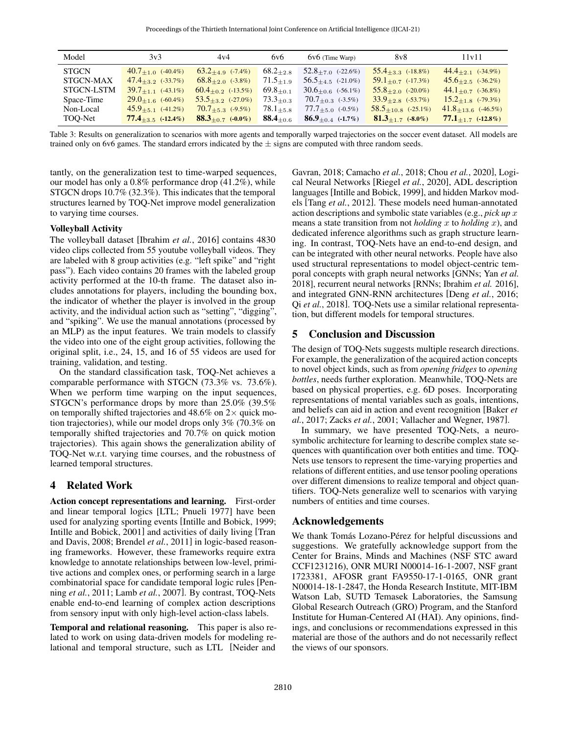<span id="page-6-0"></span>

| Model        | 3v3                       | 4v4                        | 6y6              | $6v6$ (Time Warp)           | 8v8                       | 11v11                     |
|--------------|---------------------------|----------------------------|------------------|-----------------------------|---------------------------|---------------------------|
| <b>STGCN</b> | $40.7_{\pm 1.0}$ (-40.4%) | $63.2_{+4.9}$ $(-7.4\%)$   | $68.2_{+2.8}$    | $52.8_{+7.0}$ (-22.6%)      | $55.4_{+3.3}$ $(-18.8\%)$ | $44.4_{+2.1}$ $(-34.9\%)$ |
| STGCN-MAX    | $47.4_{+3.2}$ (-33.7%)    | $68.8_{+2.0}$ $(-3.8\%)$   | $71.5 + 1.9$     | $56.5_{+4.5}$ (-21.0%)      | $59.1_{+0.7}$ (-17.3%)    | $45.6_{\pm 2.5}$ (-36.2%) |
| STGCN-LSTM   | $39.7_{\pm 1.1}$ (-43.1%) | $60.4_{\pm 0.2}$ (-13.5%)  | $69.8 + 0.1$     | $30.6 + 0.6$ (-56.1%)       | $55.8_{\pm 2.0}$ (-20.0%) | $44.1_{+0.7}$ (-36.8%)    |
| Space-Time   | $29.0 + 1.6$ (-60.4%)     | $53.5 +_{3.2}$ $(-27.0\%)$ | $73.3_{\pm 0.3}$ | $70.7_{\pm 0.3}$ (-3.5%)    | $33.9_{\pm 2.8}$ (-53.7%) | $15.2_{\pm 1.8}$ (-79.3%) |
| Non-Local    | $45.9_{+5.1}$ (-41.2%)    | $70.7_{+5.3}$ (-9.5%)      | $78.1_{+5.8}$    | $77.7_{+5.0}$ (-0.5%)       | $58.5_{+10.8}$ (-25.1%)   | $41.8_{+13.6}$ (-46.5%)   |
| TOO-Net      | $77.4_{+3.5}$ (-12.4%)    | $88.3_{+0.7}$ (-0.0%)      | $88.4_{+0.6}$    | <b>86.9</b> +0.4 $(-1.7\%)$ | $81.3_{+1.7}$ (-8.0%)     | $77.1_{+1.7}$ (-12.8%)    |

Table 3: Results on generalization to scenarios with more agents and temporally warped trajectories on the soccer event dataset. All models are trained only on 6v6 games. The standard errors indicated by the  $\pm$  signs are computed with three random seeds.

tantly, on the generalization test to time-warped sequences, our model has only a 0.8% performance drop (41.2%), while STGCN drops 10.7% (32.3%). This indicates that the temporal structures learned by TOQ-Net improve model generalization to varying time courses.

### Volleyball Activity

The volleyball dataset [\[Ibrahim](#page-7-16) *et al.*, 2016] contains 4830 video clips collected from 55 youtube volleyball videos. They are labeled with 8 group activities (e.g. "left spike" and "right pass"). Each video contains 20 frames with the labeled group activity performed at the 10-th frame. The dataset also includes annotations for players, including the bounding box, the indicator of whether the player is involved in the group activity, and the individual action such as "setting", "digging", and "spiking". We use the manual annotations (processed by an MLP) as the input features. We train models to classify the video into one of the eight group activities, following the original split, i.e., 24, 15, and 16 of 55 videos are used for training, validation, and testing.

On the standard classification task, TOQ-Net achieves a comparable performance with STGCN (73.3% vs. 73.6%). When we perform time warping on the input sequences, STGCN's performance drops by more than 25.0% (39.5% on temporally shifted trajectories and 48.6% on  $2\times$  quick motion trajectories), while our model drops only 3% (70.3% on temporally shifted trajectories and 70.7% on quick motion trajectories). This again shows the generalization ability of TOQ-Net w.r.t. varying time courses, and the robustness of learned temporal structures.

## 4 Related Work

Action concept representations and learning. First-order and linear temporal logics [LTL; [Pnueli 1977\]](#page-7-2) have been used for analyzing sporting events [\[Intille and Bobick, 1999;](#page-7-17) [Intille and Bobick, 2001\]](#page-7-14) and activities of daily living [\[Tran](#page-7-18) [and Davis, 2008;](#page-7-18) [Brendel](#page-7-19) *et al.*, 2011] in logic-based reasoning frameworks. However, these frameworks require extra knowledge to annotate relationships between low-level, primitive actions and complex ones, or performing search in a large combinatorial space for candidate temporal logic rules [\[Pen](#page-7-20)ning *et al.*[, 2011;](#page-7-20) Lamb *et al.*[, 2007\]](#page-7-21). By contrast, TOQ-Nets enable end-to-end learning of complex action descriptions from sensory input with only high-level action-class labels.

Temporal and relational reasoning. This paper is also related to work on using data-driven models for modeling relational and temporal structure, such as LTL [\[Neider and](#page-7-3)

[Gavran, 2018;](#page-7-3) [Camacho](#page-7-4) *et al.*, 2018; Chou *et al.*[, 2020\]](#page-7-5), Logical Neural Networks [\[Riegel](#page-7-22) *et al.*, 2020], ADL description languages [\[Intille and Bobick, 1999\]](#page-7-17), and hidden Markov models [Tang *et al.*[, 2012\]](#page-7-23). These models need human-annotated action descriptions and symbolic state variables (e.g., *pick up* x means a state transition from not *holding* x to *holding* x), and dedicated inference algorithms such as graph structure learning. In contrast, TOQ-Nets have an end-to-end design, and can be integrated with other neural networks. People have also used structural representations to model object-centric temporal concepts with graph neural networks [GNNs; Yan *[et al.](#page-7-10)* [2018\]](#page-7-10), recurrent neural networks [RNNs; [Ibrahim](#page-7-16) *et al.* [2016\]](#page-7-16), and integrated GNN-RNN architectures [Deng *et al.*[, 2016;](#page-7-24) Qi *et al.*[, 2018\]](#page-7-25). TOQ-Nets use a similar relational representation, but different models for temporal structures.

## 5 Conclusion and Discussion

The design of TOQ-Nets suggests multiple research directions. For example, the generalization of the acquired action concepts to novel object kinds, such as from *opening fridges* to *opening bottles*, needs further exploration. Meanwhile, TOQ-Nets are based on physical properties, e.g. 6D poses. Incorporating representations of mental variables such as goals, intentions, and beliefs can aid in action and event recognition [\[Baker](#page-7-26) *et al.*[, 2017;](#page-7-26) Zacks *et al.*[, 2001;](#page-7-27) [Vallacher and Wegner, 1987\]](#page-7-28).

In summary, we have presented TOQ-Nets, a neurosymbolic architecture for learning to describe complex state sequences with quantification over both entities and time. TOQ-Nets use tensors to represent the time-varying properties and relations of different entities, and use tensor pooling operations over different dimensions to realize temporal and object quantifiers. TOQ-Nets generalize well to scenarios with varying numbers of entities and time courses.

#### Acknowledgements

We thank Tomás Lozano-Pérez for helpful discussions and suggestions. We gratefully acknowledge support from the Center for Brains, Minds and Machines (NSF STC award CCF1231216), ONR MURI N00014-16-1-2007, NSF grant 1723381, AFOSR grant FA9550-17-1-0165, ONR grant N00014-18-1-2847, the Honda Research Institute, MIT-IBM Watson Lab, SUTD Temasek Laboratories, the Samsung Global Research Outreach (GRO) Program, and the Stanford Institute for Human-Centered AI (HAI). Any opinions, findings, and conclusions or recommendations expressed in this material are those of the authors and do not necessarily reflect the views of our sponsors.